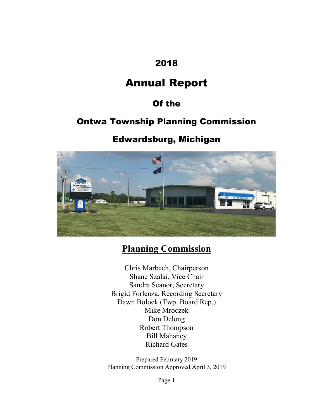### 2018

# Annual Report

## Of the

## Ontwa Township Planning Commission

### Edwardsburg, Michigan



## Planning Commission

Chris Marbach, Chairperson Shane Szalai, Vice Chair Sandra Seanor, Secretary Brigid Forlenza, Recording Secretary Dawn Bolock (Twp. Board Rep.) Mike Mroczek Don Delong Robert Thompson Bill Mahaney Richard Gates

Prepared February 2019 Planning Commission Approved April 3, 2019

Page 1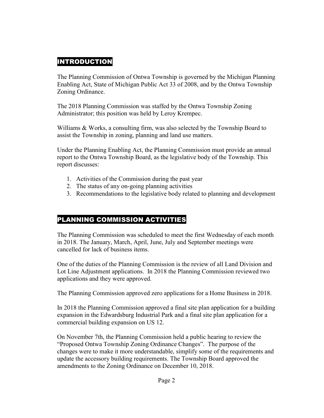#### **INTRODUCTION**

The Planning Commission of Ontwa Township is governed by the Michigan Planning Enabling Act, State of Michigan Public Act 33 of 2008, and by the Ontwa Township Zoning Ordinance.

The 2018 Planning Commission was staffed by the Ontwa Township Zoning Administrator; this position was held by Leroy Krempec.

Williams & Works, a consulting firm, was also selected by the Township Board to assist the Township in zoning, planning and land use matters.

Under the Planning Enabling Act, the Planning Commission must provide an annual report to the Ontwa Township Board, as the legislative body of the Township. This report discusses:

- 1. Activities of the Commission during the past year
- 2. The status of any on-going planning activities
- 3. Recommendations to the legislative body related to planning and development

#### PLANNING COMMISSION ACTIVITIES

The Planning Commission was scheduled to meet the first Wednesday of each month in 2018. The January, March, April, June, July and September meetings were cancelled for lack of business items.

One of the duties of the Planning Commission is the review of all Land Division and Lot Line Adjustment applications. In 2018 the Planning Commission reviewed two applications and they were approved.

The Planning Commission approved zero applications for a Home Business in 2018.

In 2018 the Planning Commission approved a final site plan application for a building expansion in the Edwardsburg Industrial Park and a final site plan application for a commercial building expansion on US 12.

On November 7th, the Planning Commission held a public hearing to review the "Proposed Ontwa Township Zoning Ordinance Changes". The purpose of the changes were to make it more understandable, simplify some of the requirements and update the accessory building requirements. The Township Board approved the amendments to the Zoning Ordinance on December 10, 2018.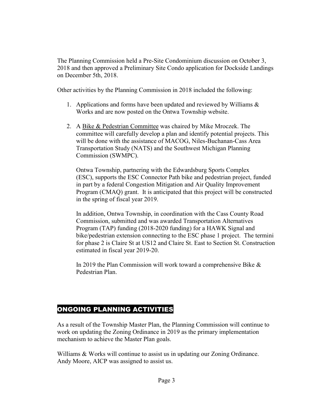The Planning Commission held a Pre-Site Condominium discussion on October 3, 2018 and then approved a Preliminary Site Condo application for Dockside Landings on December 5th, 2018.

Other activities by the Planning Commission in 2018 included the following:

- 1. Applications and forms have been updated and reviewed by Williams & Works and are now posted on the Ontwa Township website.
- 2. A Bike & Pedestrian Committee was chaired by Mike Mroczek. The committee will carefully develop a plan and identify potential projects. This will be done with the assistance of MACOG, Niles-Buchanan-Cass Area Transportation Study (NATS) and the Southwest Michigan Planning Commission (SWMPC).

Ontwa Township, partnering with the Edwardsburg Sports Complex (ESC), supports the ESC Connector Path bike and pedestrian project, funded in part by a federal Congestion Mitigation and Air Quality Improvement Program (CMAQ) grant. It is anticipated that this project will be constructed in the spring of fiscal year 2019.

In addition, Ontwa Township, in coordination with the Cass County Road Commission, submitted and was awarded Transportation Alternatives Program (TAP) funding (2018-2020 funding) for a HAWK Signal and bike/pedestrian extension connecting to the ESC phase 1 project. The termini for phase 2 is Claire St at US12 and Claire St. East to Section St. Construction estimated in fiscal year 2019-20.

In 2019 the Plan Commission will work toward a comprehensive Bike & Pedestrian Plan.

#### ONGOING PLANNING ACTIVITIES

As a result of the Township Master Plan, the Planning Commission will continue to work on updating the Zoning Ordinance in 2019 as the primary implementation mechanism to achieve the Master Plan goals.

Williams & Works will continue to assist us in updating our Zoning Ordinance. Andy Moore, AICP was assigned to assist us.